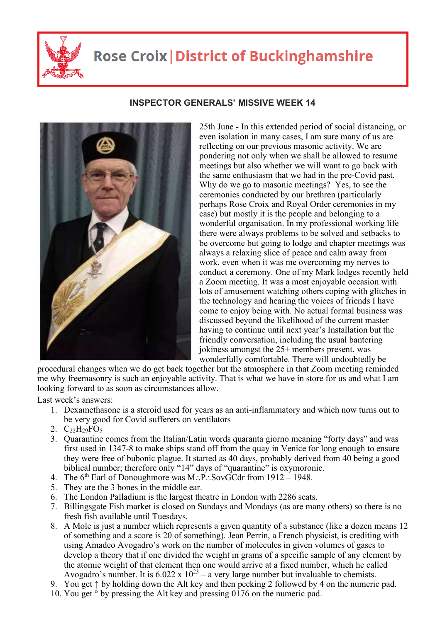

## **Rose Croix | District of Buckinghamshire**



## **INSPECTOR GENERALS' MISSIVE WEEK 14**

25th June - In this extended period of social distancing, or even isolation in many cases, I am sure many of us are reflecting on our previous masonic activity. We are pondering not only when we shall be allowed to resume meetings but also whether we will want to go back with the same enthusiasm that we had in the pre-Covid past. Why do we go to masonic meetings? Yes, to see the ceremonies conducted by our brethren (particularly perhaps Rose Croix and Royal Order ceremonies in my case) but mostly it is the people and belonging to a wonderful organisation. In my professional working life there were always problems to be solved and setbacks to be overcome but going to lodge and chapter meetings was always a relaxing slice of peace and calm away from work, even when it was me overcoming my nerves to conduct a ceremony. One of my Mark lodges recently held a Zoom meeting. It was a most enjoyable occasion with lots of amusement watching others coping with glitches in the technology and hearing the voices of friends I have come to enjoy being with. No actual formal business was discussed beyond the likelihood of the current master having to continue until next year's Installation but the friendly conversation, including the usual bantering jokiness amongst the 25+ members present, was wonderfully comfortable. There will undoubtedly be

procedural changes when we do get back together but the atmosphere in that Zoom meeting reminded me why freemasonry is such an enjoyable activity. That is what we have in store for us and what I am looking forward to as soon as circumstances allow.

Last week's answers:

- 1. Dexamethasone is a steroid used for years as an anti-inflammatory and which now turns out to be very good for Covid sufferers on ventilators
- 2.  $C_2$ <sub>2</sub>H<sub>29</sub>FO<sub>5</sub>
- 3. Quarantine comes from the Italian/Latin words quaranta giorno meaning "forty days" and was first used in 1347-8 to make ships stand off from the quay in Venice for long enough to ensure they were free of bubonic plague. It started as 40 days, probably derived from 40 being a good biblical number; therefore only "14" days of "quarantine" is oxymoronic.
- 4. The  $6<sup>th</sup>$  Earl of Donoughmore was M.: P.: SovGCdr from 1912 1948.
- 5. They are the 3 bones in the middle ear.
- 6. The London Palladium is the largest theatre in London with 2286 seats.
- 7. Billingsgate Fish market is closed on Sundays and Mondays (as are many others) so there is no fresh fish available until Tuesdays.
- 8. A Mole is just a number which represents a given quantity of a substance (like a dozen means 12 of something and a score is 20 of something). Jean Perrin, a French physicist, is crediting with using Amadeo Avogadro's work on the number of molecules in given volumes of gases to develop a theory that if one divided the weight in grams of a specific sample of any element by the atomic weight of that element then one would arrive at a fixed number, which he called Avogadro's number. It is  $6.022 \times 10^{23}$  – a very large number but invaluable to chemists.
- 9. You get ↑ by holding down the Alt key and then pecking 2 followed by 4 on the numeric pad.
- 10. You get ° by pressing the Alt key and pressing 0176 on the numeric pad.